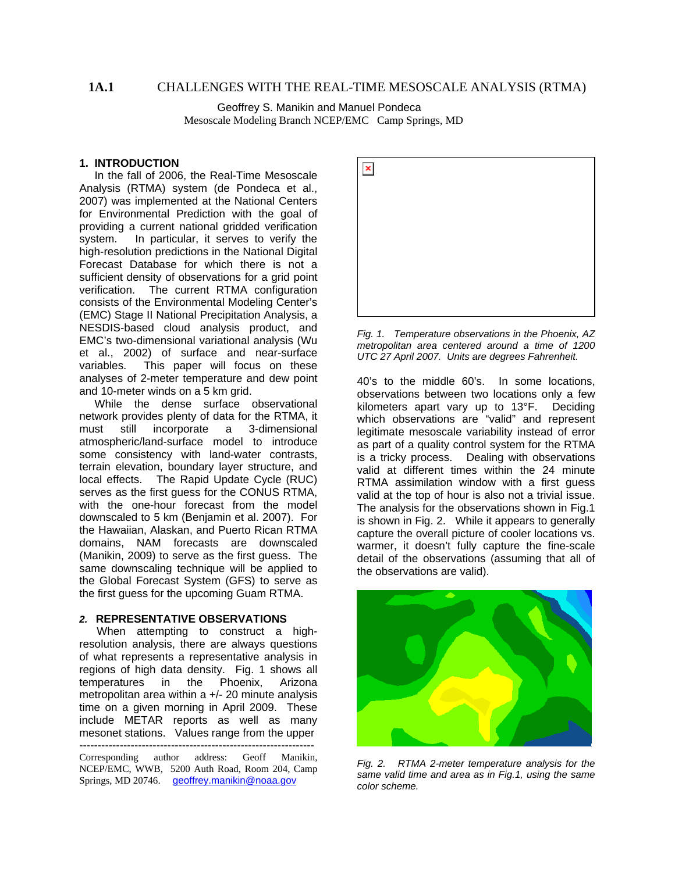# **1A.1** CHALLENGES WITH THE REAL-TIME MESOSCALE ANALYSIS (RTMA)

 Geoffrey S. Manikin and Manuel Pondeca Mesoscale Modeling Branch NCEP/EMC Camp Springs, MD

# **1. INTRODUCTION**

 In the fall of 2006, the Real-Time Mesoscale Analysis (RTMA) system (de Pondeca et al., 2007) was implemented at the National Centers for Environmental Prediction with the goal of providing a current national gridded verification system. In particular, it serves to verify the high-resolution predictions in the National Digital Forecast Database for which there is not a sufficient density of observations for a grid point verification. The current RTMA configuration consists of the Environmental Modeling Center's (EMC) Stage II National Precipitation Analysis, a NESDIS-based cloud analysis product, and EMC's two-dimensional variational analysis (Wu et al., 2002) of surface and near-surface variables. This paper will focus on these analyses of 2-meter temperature and dew point and 10-meter winds on a 5 km grid.

 While the dense surface observational network provides plenty of data for the RTMA, it must still incorporate a 3-dimensional atmospheric/land-surface model to introduce some consistency with land-water contrasts, terrain elevation, boundary layer structure, and local effects. The Rapid Update Cycle (RUC) serves as the first guess for the CONUS RTMA, with the one-hour forecast from the model downscaled to 5 km (Benjamin et al. 2007). For the Hawaiian, Alaskan, and Puerto Rican RTMA domains, NAM forecasts are downscaled (Manikin, 2009) to serve as the first guess. The same downscaling technique will be applied to the Global Forecast System (GFS) to serve as the first guess for the upcoming Guam RTMA.

# *2.* **REPRESENTATIVE OBSERVATIONS**

When attempting to construct a highresolution analysis, there are always questions of what represents a representative analysis in regions of high data density. Fig. 1 shows all temperatures in the Phoenix, Arizona metropolitan area within a +/- 20 minute analysis time on a given morning in April 2009. These include METAR reports as well as many mesonet stations. Values range from the upper ---------------------------------------------------------------- Corresponding author address: Geoff Manikin, NCEP/EMC, WWB, 5200 Auth Road, Room 204, Camp Springs, MD 20746. [geoffrey.manikin@noaa.gov](mailto:geoffrey.manikin@noaa.gov)



*Fig. 1. Temperature observations in the Phoenix, AZ metropolitan area centered around a time of 1200 UTC 27 April 2007. Units are degrees Fahrenheit.* 

40's to the middle 60's. In some locations, observations between two locations only a few kilometers apart vary up to 13°F. Deciding which observations are "valid" and represent legitimate mesoscale variability instead of error as part of a quality control system for the RTMA is a tricky process. Dealing with observations valid at different times within the 24 minute RTMA assimilation window with a first guess valid at the top of hour is also not a trivial issue. The analysis for the observations shown in Fig.1 is shown in Fig. 2. While it appears to generally capture the overall picture of cooler locations vs. warmer, it doesn't fully capture the fine-scale detail of the observations (assuming that all of the observations are valid).



*Fig. 2. RTMA 2-meter temperature analysis for the same valid time and area as in Fig.1, using the same color scheme.*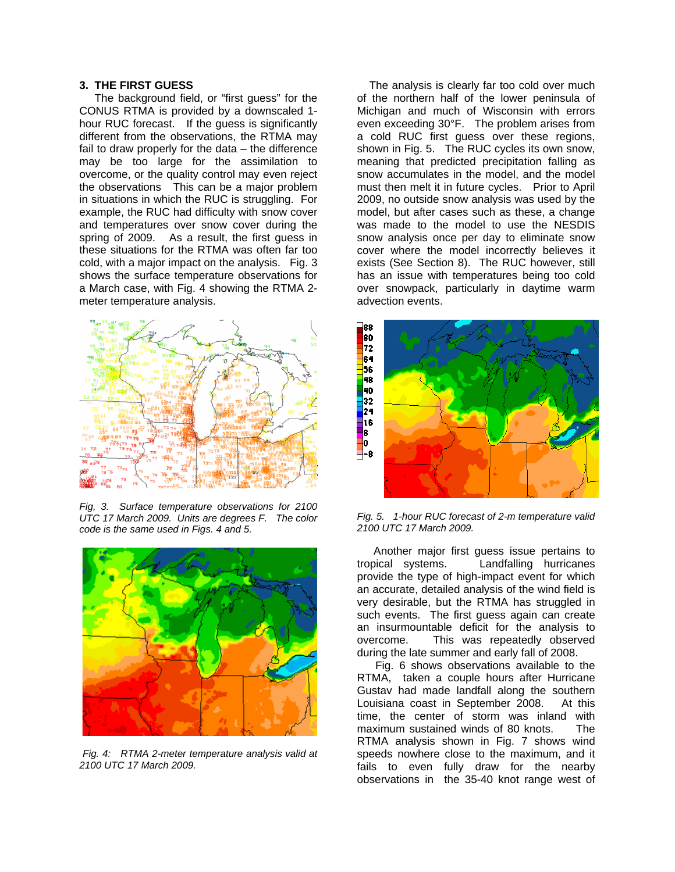## **3. THE FIRST GUESS**

 The background field, or "first guess" for the CONUS RTMA is provided by a downscaled 1 hour RUC forecast. If the guess is significantly different from the observations, the RTMA may fail to draw properly for the data – the difference may be too large for the assimilation to overcome, or the quality control may even reject the observations This can be a major problem in situations in which the RUC is struggling. For example, the RUC had difficulty with snow cover and temperatures over snow cover during the spring of 2009. As a result, the first guess in these situations for the RTMA was often far too cold, with a major impact on the analysis. Fig. 3 shows the surface temperature observations for a March case, with Fig. 4 showing the RTMA 2 meter temperature analysis.



*Fig, 3. Surface temperature observations for 2100 UTC 17 March 2009. Units are degrees F. The color code is the same used in Figs. 4 and 5.* 



*Fig. 4: RTMA 2-meter temperature analysis valid at 2100 UTC 17 March 2009.* 

 The analysis is clearly far too cold over much of the northern half of the lower peninsula of Michigan and much of Wisconsin with errors even exceeding 30°F. The problem arises from a cold RUC first guess over these regions, shown in Fig. 5. The RUC cycles its own snow. meaning that predicted precipitation falling as snow accumulates in the model, and the model must then melt it in future cycles. Prior to April 2009, no outside snow analysis was used by the model, but after cases such as these, a change was made to the model to use the NESDIS snow analysis once per day to eliminate snow cover where the model incorrectly believes it exists (See Section 8). The RUC however, still has an issue with temperatures being too cold over snowpack, particularly in daytime warm advection events.



*Fig. 5. 1-hour RUC forecast of 2-m temperature valid 2100 UTC 17 March 2009.* 

Another major first guess issue pertains to tropical systems. Landfalling hurricanes provide the type of high-impact event for which an accurate, detailed analysis of the wind field is very desirable, but the RTMA has struggled in such events. The first guess again can create an insurmountable deficit for the analysis to overcome. This was repeatedly observed during the late summer and early fall of 2008.

 Fig. 6 shows observations available to the RTMA, taken a couple hours after Hurricane Gustav had made landfall along the southern Louisiana coast in September 2008. At this time, the center of storm was inland with maximum sustained winds of 80 knots. The RTMA analysis shown in Fig. 7 shows wind speeds nowhere close to the maximum, and it fails to even fully draw for the nearby observations in the 35-40 knot range west of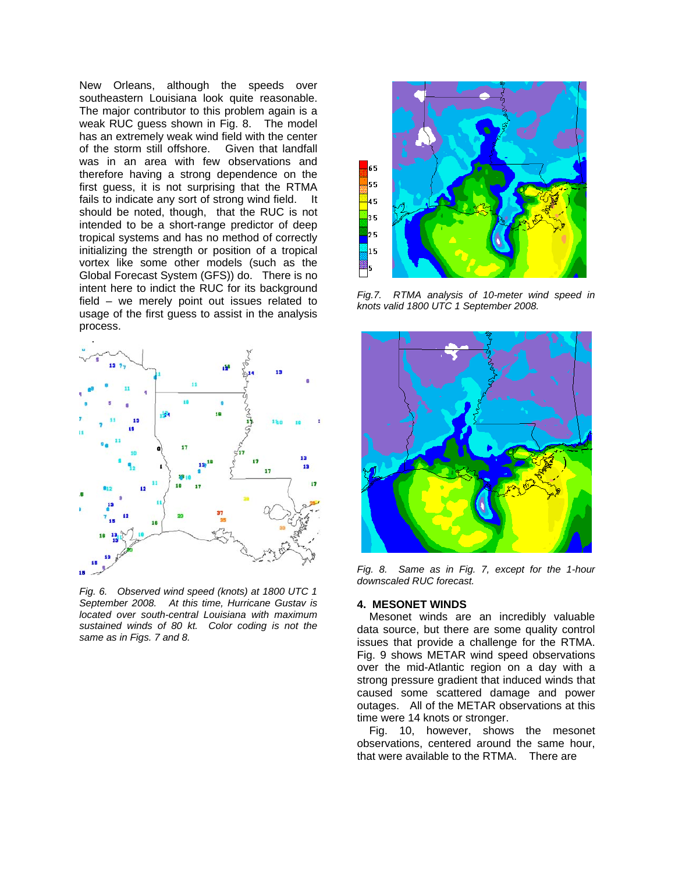New Orleans, although the speeds over southeastern Louisiana look quite reasonable. The major contributor to this problem again is a weak RUC guess shown in Fig. 8. The model has an extremely weak wind field with the center of the storm still offshore. Given that landfall was in an area with few observations and therefore having a strong dependence on the first guess, it is not surprising that the RTMA fails to indicate any sort of strong wind field. It should be noted, though, that the RUC is not intended to be a short-range predictor of deep tropical systems and has no method of correctly initializing the strength or position of a tropical vortex like some other models (such as the Global Forecast System (GFS)) do. There is no intent here to indict the RUC for its background field – we merely point out issues related to usage of the first guess to assist in the analysis process.



*Fig. 6. Observed wind speed (knots) at 1800 UTC 1 September 2008. At this time, Hurricane Gustav is located over south-central Louisiana with maximum sustained winds of 80 kt. Color coding is not the same as in Figs. 7 and 8.* 



*Fig.7. RTMA analysis of 10-meter wind speed in knots valid 1800 UTC 1 September 2008.* 



*Fig. 8. Same as in Fig. 7, except for the 1-hour downscaled RUC forecast.* 

## **4. MESONET WINDS**

 Mesonet winds are an incredibly valuable data source, but there are some quality control issues that provide a challenge for the RTMA. Fig. 9 shows METAR wind speed observations over the mid-Atlantic region on a day with a strong pressure gradient that induced winds that caused some scattered damage and power outages. All of the METAR observations at this time were 14 knots or stronger.

Fig. 10, however, shows the mesonet observations, centered around the same hour, that were available to the RTMA. There are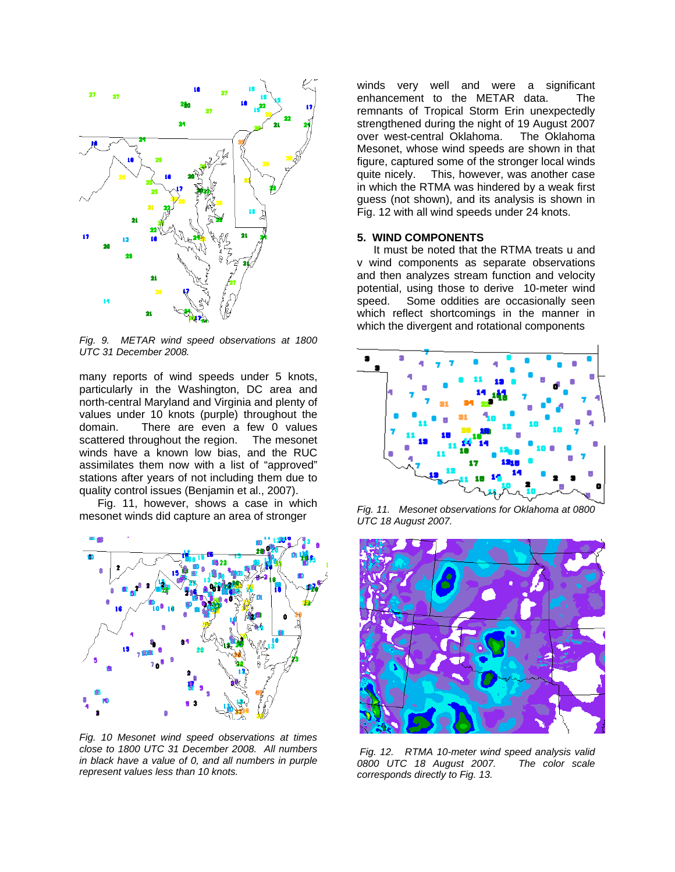

*Fig. 9. METAR wind speed observations at 1800 UTC 31 December 2008.*

many reports of wind speeds under 5 knots, particularly in the Washington, DC area and north-central Maryland and Virginia and plenty of values under 10 knots (purple) throughout the domain. There are even a few 0 values scattered throughout the region. The mesonet winds have a known low bias, and the RUC assimilates them now with a list of "approved" stations after years of not including them due to quality control issues (Benjamin et al., 2007).

 Fig. 11, however, shows a case in which mesonet winds did capture an area of stronger



*Fig. 10 Mesonet wind speed observations at times close to 1800 UTC 31 December 2008. All numbers in black have a value of 0, and all numbers in purple represent values less than 10 knots.*

winds very well and were a significant enhancement to the METAR data. The remnants of Tropical Storm Erin unexpectedly strengthened during the night of 19 August 2007 over west-central Oklahoma. The Oklahoma Mesonet, whose wind speeds are shown in that figure, captured some of the stronger local winds quite nicely. This, however, was another case in which the RTMA was hindered by a weak first guess (not shown), and its analysis is shown in Fig. 12 with all wind speeds under 24 knots.

## **5. WIND COMPONENTS**

It must be noted that the RTMA treats u and v wind components as separate observations and then analyzes stream function and velocity potential, using those to derive 10-meter wind speed. Some oddities are occasionally seen which reflect shortcomings in the manner in which the divergent and rotational components



*Fig. 11. Mesonet observations for Oklahoma at 0800 UTC 18 August 2007.*



 *Fig. 12. RTMA 10-meter wind speed analysis valid 0800 UTC 18 August 2007. corresponds directly to Fig. 13.*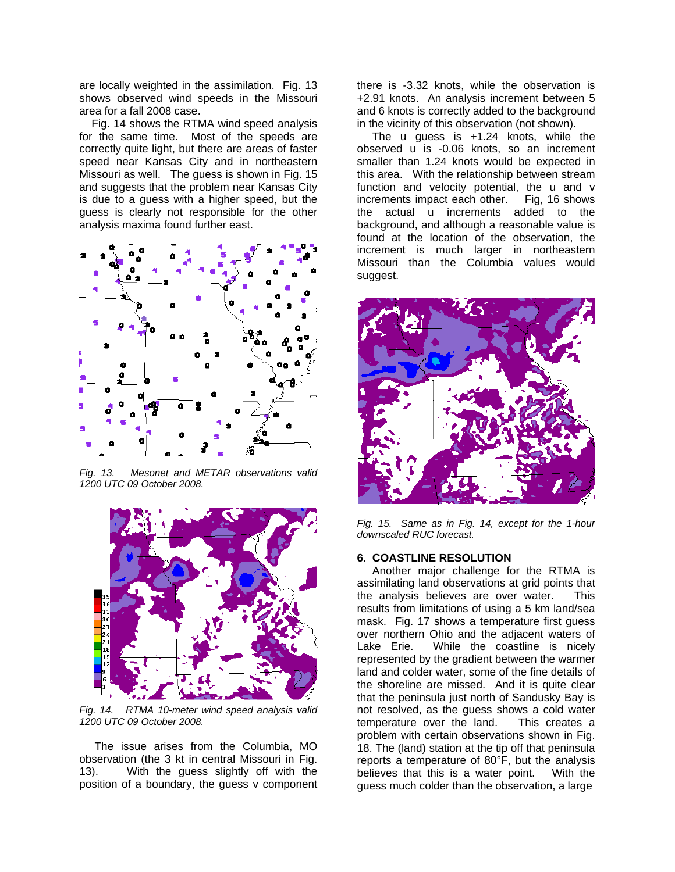are locally weighted in the assimilation. Fig. 13 shows observed wind speeds in the Missouri area for a fall 2008 case.

Fig. 14 shows the RTMA wind speed analysis for the same time. Most of the speeds are correctly quite light, but there are areas of faster speed near Kansas City and in northeastern Missouri as well. The guess is shown in Fig. 15 and suggests that the problem near Kansas City is due to a guess with a higher speed, but the guess is clearly not responsible for the other analysis maxima found further east.



*Fig. 13. Mesonet and METAR observations valid 1200 UTC 09 October 2008.*



*Fig. 14. RTMA 10-meter wind speed analysis valid 1200 UTC 09 October 2008.* 

The issue arises from the Columbia, MO observation (the 3 kt in central Missouri in Fig. 13). With the guess slightly off with the position of a boundary, the guess v component there is -3.32 knots, while the observation is +2.91 knots. An analysis increment between 5 and 6 knots is correctly added to the background in the vicinity of this observation (not shown).

The u guess is +1.24 knots, while the observed u is -0.06 knots, so an increment smaller than 1.24 knots would be expected in this area. With the relationship between stream function and velocity potential, the u and v increments impact each other. Fig, 16 shows the actual u increments added to the background, and although a reasonable value is found at the location of the observation, the increment is much larger in northeastern Missouri than the Columbia values would suggest.



Fig. 15. Same as in Fig. 14, except for the 1-hour *downscaled RUC forecast.* 

## **. COASTLINE RESOLUTION 6**

Another major challenge for the RTMA is guess much colder than the observation, a large assimilating land observations at grid points that the analysis believes are over water. This results from limitations of using a 5 km land/sea mask. Fig. 17 shows a temperature first guess over northern Ohio and the adjacent waters of Lake Erie. While the coastline is nicely represented by the gradient between the warmer land and colder water, some of the fine details of the shoreline are missed. And it is quite clear that the peninsula just north of Sandusky Bay is not resolved, as the guess shows a cold water temperature over the land. This creates a problem with certain observations shown in Fig. 18. The (land) station at the tip off that peninsula reports a temperature of 80°F, but the analysis believes that this is a water point. With the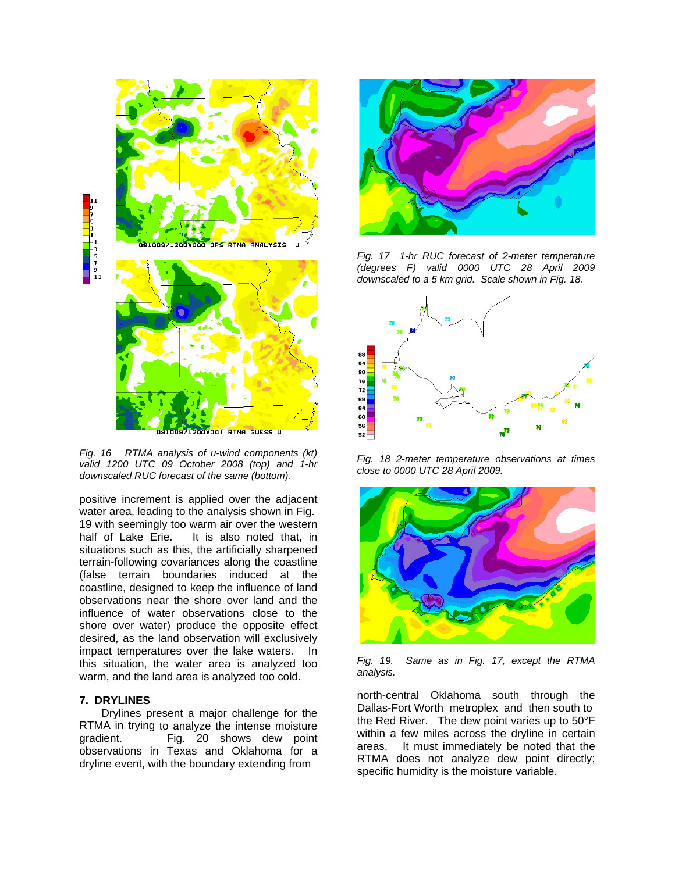

*Fig. 16 RTMA analysis of u-wind components (kt) alid 1200 UTC 09 October 2008 (top) and 1-hr v downscaled RUC forecast of the same (bottom).* 

positive increment is applied over the adjacent water area, leading to the analysis shown in Fig. 19 with seemingly too warm air over the western half of Lake Erie. It is also noted that, in situations such as this, the artificially sharpened terrain-following covariances along the coastline (false terrain boundaries induced at the coastline, designed to keep the influence of land observations near the shore over land and the influence of water observations close to the shore over water) produce the opposite effect desired, as the land observation will exclusively impact temperatures over the lake waters. In this situation, the water area is analyzed too warm, and the land area is analyzed too cold.

## **7. DRYLINES**

Drylines present a major challenge for the RTMA in trying to analyze the intense moisture gradient. Fig. 20 shows dew point observations in Texas and Oklahoma for a dryline event, with the boundary extending from



*Fig. 17 1-hr RUC forecast of 2-meter temperature (degrees F) valid 0000 UTC 28 April 2009 downscaled to a 5 km grid. Scale shown in Fig. 18.* 



*Fig. 18 2-meter temperature observations at times close to 0000 UTC 28 April 2009.* 



*Fig. 19. Same as in Fig. 17, except the RTMA nalysis. a*

Dallas-Fort Worth metroplex and then south to north-central Oklahoma south through the the Red River. The dew point varies up to 50°F within a few miles across the dryline in certain areas. It must immediately be noted that the RTMA does not analyze dew point directly; specific humidity is the moisture variable.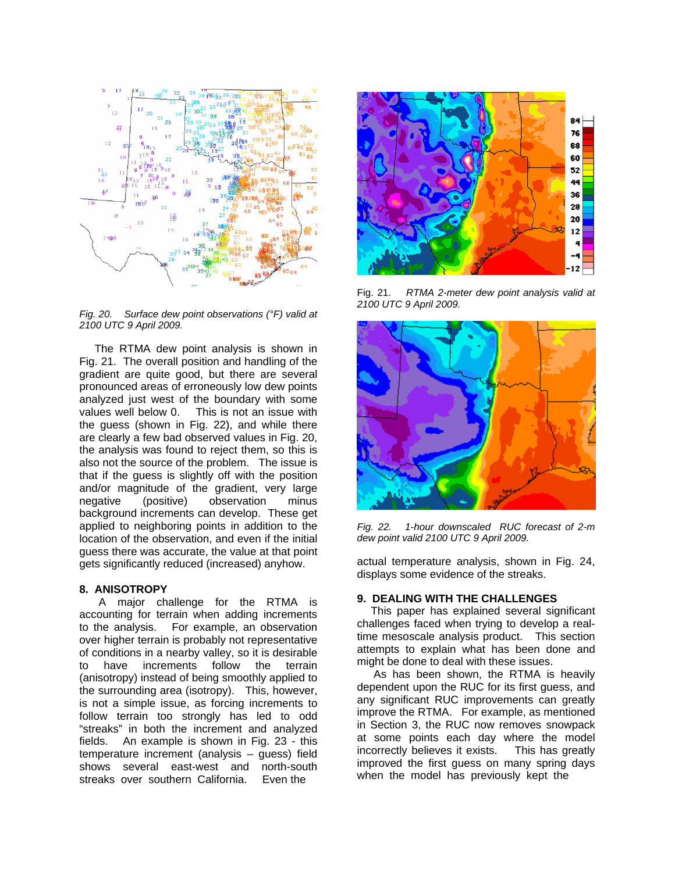

*Fig. 20. Surface dew point observations (°F) valid at 100 UTC 9 April 2009. 2*

Fig. 21. The overall position and handling of the gradient are quite good, but there are several The RTMA dew point analysis is shown in pronounced areas of erroneously low dew points analyzed just west of the boundary with some values well below 0. This is not an issue with the guess (shown in Fig. 22), and while there are clearly a few bad observed values in Fig. 20, the analysis was found to reject them, so this is also not the source of the problem. The issue is that if the guess is slightly off with the position and/or magnitude of the gradient, very large negative (positive) observation minus background increments can develop. These get applied to neighboring points in addition to the location of the observation, and even if the initial guess there was accurate, the value at that point gets significantly reduced (increased) anyhow.

## **8. ANISOTROPY**

A major challenge for the RTMA is accounting for terrain when adding increments to the analysis. For example, an observation over higher terrain is probably not representative of conditions in a nearby valley, so it is desirable to have increments follow the terrain (anisotropy) instead of being smoothly applied to the surrounding area (isotropy). This, however, is not a simple issue, as forcing increments to follow terrain too strongly has led to odd "streaks" in both the increment and analyzed fields. An example is shown in Fig. 23 - this temperature increment (analysis – guess) field shows several east-west and north-south streaks over southern California. Even the



Fig. 21. *RTMA 2-meter dew point analysis valid at 2100 UTC 9 April 2009.* 



*Fig. 22. 1-hour downscaled RUC forecast of 2-m dew point valid 2100 UTC 9 April 2009.* 

actual temperature analysis, shown in Fig. 24, displays some evidence of the streaks.

#### **9. DEALING WITH THE CHALLENGES**

This paper has explained several significant challenges faced when trying to develop a realtime mesoscale analysis product. This section attempts to explain what has been done and might be done to deal with these issues.

any significant RUC improvements can greatly As has been shown, the RTMA is heavily dependent upon the RUC for its first guess, and improve the RTMA. For example, as mentioned in Section 3, the RUC now removes snowpack at some points each day where the model incorrectly believes it exists. This has greatly improved the first guess on many spring days when the model has previously kept the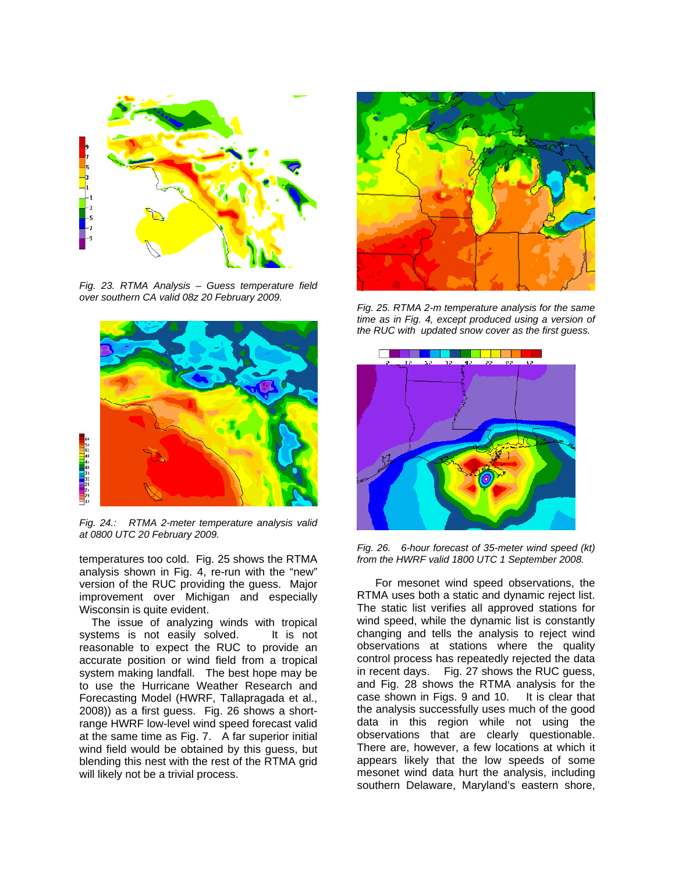

*Fig. 23. RTMA Analysis – Guess temperature field over southern CA valid 08z 20 February 2009.* 



*Fig. 24.: RTMA 2-meter temperature analysis valid at 0800 UTC 20 February 2009.* 

analysis shown in Fig. 4, re-run with the "new" version of the RUC providing the guess. Major temperatures too cold. Fig. 25 shows the RTMA improvement over Michigan and especially Wisconsin is quite evident.

reasonable to expect the RUC to provide an The issue of analyzing winds with tropical systems is not easily solved. It is not accurate position or wind field from a tropical system making landfall. The best hope may be to use the Hurricane Weather Research and Forecasting Model (HWRF, Tallapragada et al., 2008)) as a first guess. Fig. 26 shows a shortrange HWRF low-level wind speed forecast valid at the same time as Fig. 7. A far superior initial wind field would be obtained by this guess, but blending this nest with the rest of the RTMA grid will likely not be a trivial process.



*Fig. 25. RTMA 2-m temperature analysis for the same time as in Fig. 4, except produced using a version of RUC with updated snow cover as the first guess. the*



*d (kt) Fig. 26. 6-hour forecast of 35-meter wind spee from the HWRF valid 1800 UTC 1 September 2008.*

The static list verifies all approved stations for For mesonet wind speed observations, the RTMA uses both a static and dynamic reject list. wind speed, while the dynamic list is constantly changing and tells the analysis to reject wind observations at stations where the quality control process has repeatedly rejected the data in recent days. Fig. 27 shows the RUC guess, and Fig. 28 shows the RTMA analysis for the case shown in Figs. 9 and 10. It is clear that the analysis successfully uses much of the good data in this region while not using the observations that are clearly questionable. There are, however, a few locations at which it appears likely that the low speeds of some mesonet wind data hurt the analysis, including southern Delaware, Maryland's eastern shore,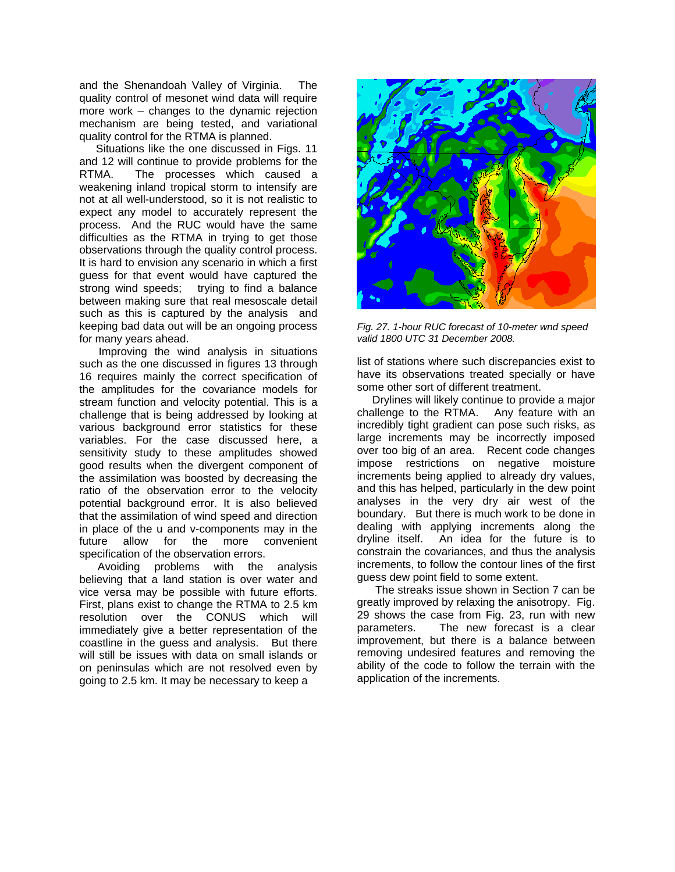and the Shenandoah Valley of Virginia. The quality control of mesonet wind data will require more work – changes to the dynamic rejection mechanism are being tested, and variational quality control for the RTMA is planned.

Situations like the one discussed in Figs. 11 and 12 will continue to provide problems for the RTMA. The processes which caused a weakening inland tropical storm to intensify are not at all well-understood, so it is not realistic to expect any model to accurately represent the process. And the RUC would have the same difficulties as the RTMA in trying to get those observations through the quality control process. It is hard to envision any scenario in which a first guess for that event would have captured the strong wind speeds; trying to find a balance between making sure that real mesoscale detail such as this is captured by the analysis and keeping bad data out will be an ongoing process for many years ahead.

Improving the wind analysis in situations such as the one discussed in figures 13 through 16 requires mainly the correct specification of the amplitudes for the covariance models for stream function and velocity potential. This is a challenge that is being addressed by looking at various background error statistics for these variables. For the case discussed here, a sensitivity study to these amplitudes showed good results when the divergent component of the assimilation was boosted by decreasing the ratio of the observation error to the velocity potential background error. It is also believed that the assimilation of wind speed and direction in place of the u and v-components may in the future allow for the more convenient specification of the observation errors.

First, plans exist to change the RTMA to 2.5 km resolution over the CONUS which will Avoiding problems with the analysis believing that a land station is over water and vice versa may be possible with future efforts. immediately give a better representation of the coastline in the guess and analysis. But there will still be issues with data on small islands or on peninsulas which are not resolved even by going to 2.5 km. It may be necessary to keep a



*Fig. 27. 1-hour RUC forecast of 10-meter wnd speed valid 1800 UTC 31 December 2008.* 

list of stations where such discrepancies exist to have its observations treated specially or have some other sort of different treatment.

 Drylines will likely continue to provide a major challenge to the RTMA. Any feature with an incredibly tight gradient can pose such risks, as large increments may be incorrectly imposed over too big of an area. Recent code changes impose restrictions on negative moisture increments being applied to already dry values, and this has helped, particularly in the dew point analyses in the very dry air west of the boundary. But there is much work to be done in dealing with applying increments along the dryline itself. An idea for the future is to constrain the covariances, and thus the analysis increments, to follow the contour lines of the first guess dew point field to some extent.

 The streaks issue shown in Section 7 can be greatly improved by relaxing the anisotropy. Fig. 29 shows the case from Fig. 23, run with new parameters. The new forecast is a clear improvement, but there is a balance between removing undesired features and removing the ability of the code to follow the terrain with the application of the increments.